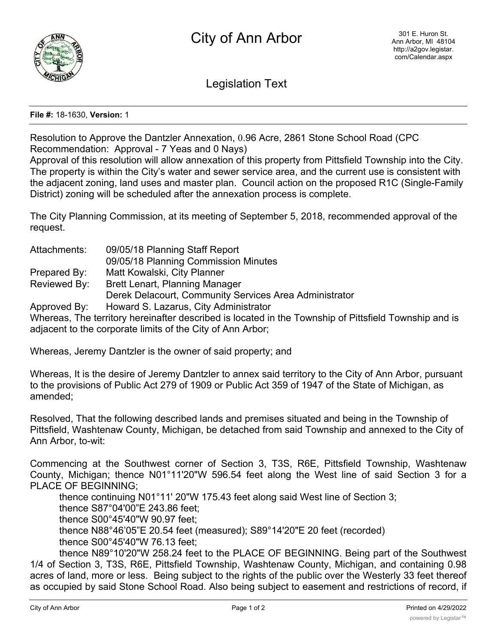

Legislation Text

## **File #:** 18-1630, **Version:** 1

Resolution to Approve the Dantzler Annexation, 0.96 Acre, 2861 Stone School Road (CPC Recommendation: Approval - 7 Yeas and 0 Nays)

Approval of this resolution will allow annexation of this property from Pittsfield Township into the City. The property is within the City's water and sewer service area, and the current use is consistent with the adjacent zoning, land uses and master plan. Council action on the proposed R1C (Single-Family District) zoning will be scheduled after the annexation process is complete.

The City Planning Commission, at its meeting of September 5, 2018, recommended approval of the request.

| Attachments: | 09/05/18 Planning Staff Report                                                                        |
|--------------|-------------------------------------------------------------------------------------------------------|
|              | 09/05/18 Planning Commission Minutes                                                                  |
| Prepared By: | Matt Kowalski, City Planner                                                                           |
| Reviewed By: | Brett Lenart, Planning Manager                                                                        |
|              | Derek Delacourt, Community Services Area Administrator                                                |
| Approved By: | Howard S. Lazarus, City Administrator                                                                 |
|              | Whereas, The territory hereinafter described is located in the Township of Pittsfield Township and is |
|              | adjacent to the corporate limits of the City of Ann Arbor;                                            |

Whereas, Jeremy Dantzler is the owner of said property; and

Whereas, It is the desire of Jeremy Dantzler to annex said territory to the City of Ann Arbor, pursuant to the provisions of Public Act 279 of 1909 or Public Act 359 of 1947 of the State of Michigan, as amended;

Resolved, That the following described lands and premises situated and being in the Township of Pittsfield, Washtenaw County, Michigan, be detached from said Township and annexed to the City of Ann Arbor, to-wit:

Commencing at the Southwest corner of Section 3, T3S, R6E, Pittsfield Township, Washtenaw County, Michigan; thence N01°11'20"W 596.54 feet along the West line of said Section 3 for a PLACE OF BEGINNING;

thence continuing N01°11' 20"W 175.43 feet along said West line of Section 3; thence S87°04'00"E 243.86 feet; thence S00°45'40"W 90.97 feet; thence N88°46'05"E 20.54 feet (measured); S89°14'20"E 20 feet (recorded) thence S00°45'40"W 76.13 feet;

thence N89°10'20"W 258.24 feet to the PLACE OF BEGINNING. Being part of the Southwest 1/4 of Section 3, T3S, R6E, Pittsfield Township, Washtenaw County, Michigan, and containing 0.98 acres of land, more or less. Being subject to the rights of the public over the Westerly 33 feet thereof as occupied by said Stone School Road. Also being subject to easement and restrictions of record, if